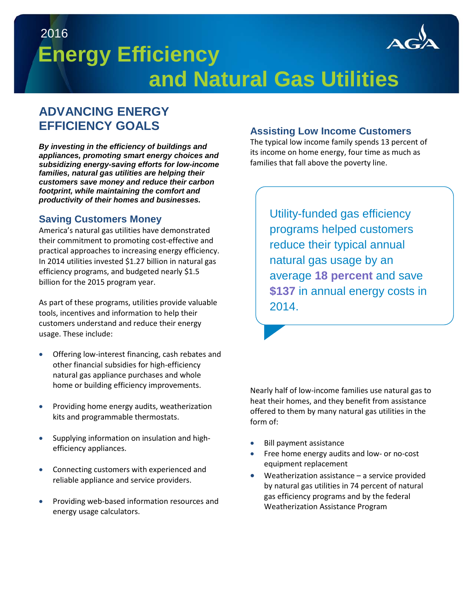

# **Energy Efficiency and Natural Gas Utilities** 2016

## **ADVANCING ENERGY EFFICIENCY GOALS**

*By investing in the efficiency of buildings and appliances, promoting smart energy choices and subsidizing energy-saving efforts for low-income families, natural gas utilities are helping their customers save money and reduce their carbon footprint, while maintaining the comfort and productivity of their homes and businesses.*

#### **Saving Customers Money**

America's natural gas utilities have demonstrated their commitment to promoting cost-effective and practical approaches to increasing energy efficiency. In 2014 utilities invested \$1.27 billion in natural gas efficiency programs, and budgeted nearly \$1.5 billion for the 2015 program year.

As part of these programs, utilities provide valuable tools, incentives and information to help their customers understand and reduce their energy usage. These include:

- Offering low-interest financing, cash rebates and other financial subsidies for high-efficiency natural gas appliance purchases and whole home or building efficiency improvements.
- Providing home energy audits, weatherization kits and programmable thermostats.
- Supplying information on insulation and highefficiency appliances.
- Connecting customers with experienced and reliable appliance and service providers.
- Providing web-based information resources and energy usage calculators.

#### **Assisting Low Income Customers**

The typical low income family spends 13 percent of its income on home energy, four time as much as families that fall above the poverty line.

> Utility-funded gas efficiency programs helped customers reduce their typical annual natural gas usage by an average **18 percent** and save **\$137** in annual energy costs in 2014.

Nearly half of low-income families use natural gas to heat their homes, and they benefit from assistance offered to them by many natural gas utilities in the form of:

- Bill payment assistance
- Free home energy audits and low- or no-cost equipment replacement
- Weatherization assistance a service provided by natural gas utilities in 74 percent of natural gas efficiency programs and by the federal Weatherization Assistance Program